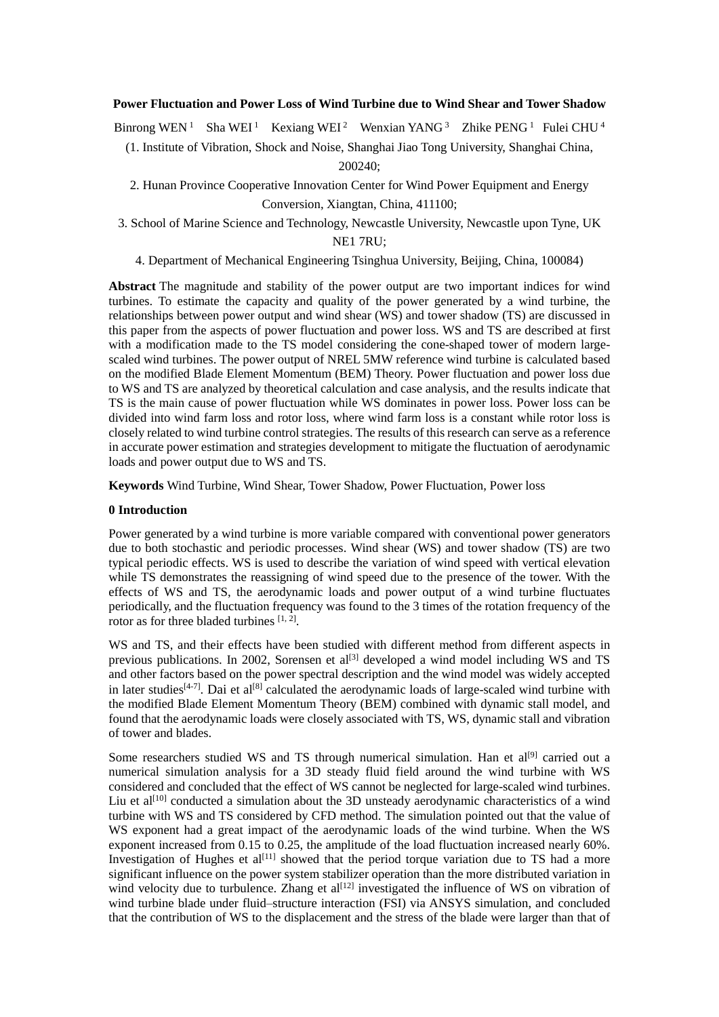# **Power Fluctuation and Power Loss of Wind Turbine due to Wind Shear and Tower Shadow**

Binrong WEN<sup>1</sup> Sha WEI<sup>1</sup> Kexiang WEI<sup>2</sup> Wenxian YANG<sup>3</sup> Zhike PENG<sup>1</sup> Fulei CHU<sup>4</sup>

(1. Institute of Vibration, Shock and Noise, Shanghai Jiao Tong University, Shanghai China,

200240;

2. Hunan Province Cooperative Innovation Center for Wind Power Equipment and Energy Conversion, Xiangtan, China, 411100;

3. School of Marine Science and Technology, Newcastle University, Newcastle upon Tyne, UK NE1 7RU;

4. Department of Mechanical Engineering Tsinghua University, Beijing, China, 100084)

**Abstract** The magnitude and stability of the power output are two important indices for wind turbines. To estimate the capacity and quality of the power generated by a wind turbine, the relationships between power output and wind shear (WS) and tower shadow (TS) are discussed in this paper from the aspects of power fluctuation and power loss. WS and TS are described at first with a modification made to the TS model considering the cone-shaped tower of modern largescaled wind turbines. The power output of NREL 5MW reference wind turbine is calculated based on the modified Blade Element Momentum (BEM) Theory. Power fluctuation and power loss due to WS and TS are analyzed by theoretical calculation and case analysis, and the results indicate that TS is the main cause of power fluctuation while WS dominates in power loss. Power loss can be divided into wind farm loss and rotor loss, where wind farm loss is a constant while rotor loss is closely related to wind turbine control strategies. The results of this research can serve as a reference in accurate power estimation and strategies development to mitigate the fluctuation of aerodynamic loads and power output due to WS and TS.

**Keywords** Wind Turbine, Wind Shear, Tower Shadow, Power Fluctuation, Power loss

# **0 Introduction**

Power generated by a wind turbine is more variable compared with conventional power generators due to both stochastic and periodic processes. Wind shear (WS) and tower shadow (TS) are two typical periodic effects. WS is used to describe the variation of wind speed with vertical elevation while TS demonstrates the reassigning of wind speed due to the presence of the tower. With the effects of WS and TS, the aerodynamic loads and power output of a wind turbine fluctuates periodically, and the fluctuation frequency was found to the 3 times of the rotation frequency of the rotor as for three bladed turbines [1, 2].

WS and TS, and their effects have been studied with different method from different aspects in previous publications. In 2002, Sorensen et al<sup>[3]</sup> developed a wind model including WS and TS and other factors based on the power spectral description and the wind model was widely accepted in later studies<sup>[4-7]</sup>. Dai et al<sup>[8]</sup> calculated the aerodynamic loads of large-scaled wind turbine with the modified Blade Element Momentum Theory (BEM) combined with dynamic stall model, and found that the aerodynamic loads were closely associated with TS, WS, dynamic stall and vibration of tower and blades.

Some researchers studied WS and TS through numerical simulation. Han et al<sup>[9]</sup> carried out a numerical simulation analysis for a 3D steady fluid field around the wind turbine with WS considered and concluded that the effect of WS cannot be neglected for large-scaled wind turbines. Liu et al<sup>[10]</sup> conducted a simulation about the 3D unsteady aerodynamic characteristics of a wind turbine with WS and TS considered by CFD method. The simulation pointed out that the value of WS exponent had a great impact of the aerodynamic loads of the wind turbine. When the WS exponent increased from 0.15 to 0.25, the amplitude of the load fluctuation increased nearly 60%. Investigation of Hughes et al<sup>[11]</sup> showed that the period torque variation due to TS had a more significant influence on the power system stabilizer operation than the more distributed variation in wind velocity due to turbulence. Zhang et al<sup>[12]</sup> investigated the influence of WS on vibration of wind turbine blade under fluid–structure interaction (FSI) via ANSYS simulation, and concluded that the contribution of WS to the displacement and the stress of the blade were larger than that of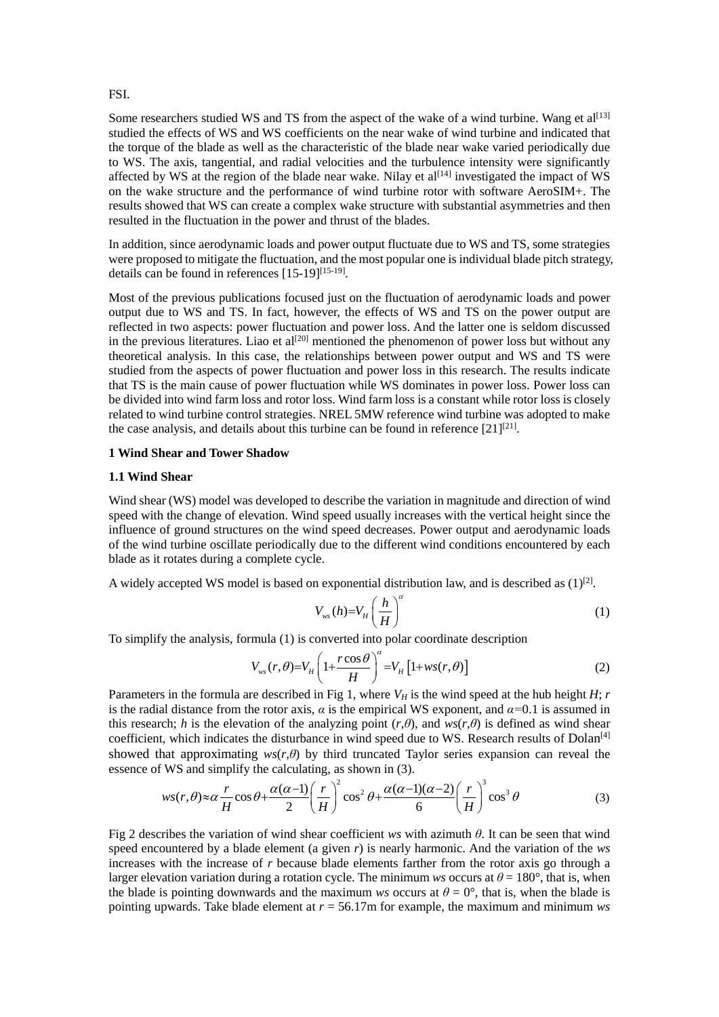### FSI.

Some researchers studied WS and TS from the aspect of the wake of a wind turbine. Wang et  $al^{[13]}$ studied the effects of WS and WS coefficients on the near wake of wind turbine and indicated that the torque of the blade as well as the characteristic of the blade near wake varied periodically due to WS. The axis, tangential, and radial velocities and the turbulence intensity were significantly affected by WS at the region of the blade near wake. Nilay et al<sup>[14]</sup> investigated the impact of WS on the wake structure and the performance of wind turbine rotor with software AeroSIM+. The results showed that WS can create a complex wake structure with substantial asymmetries and then resulted in the fluctuation in the power and thrust of the blades.

In addition, since aerodynamic loads and power output fluctuate due to WS and TS, some strategies were proposed to mitigate the fluctuation, and the most popular one is individual blade pitch strategy, details can be found in references [15-19]<sup>[15-19]</sup>.

Most of the previous publications focused just on the fluctuation of aerodynamic loads and power output due to WS and TS. In fact, however, the effects of WS and TS on the power output are reflected in two aspects: power fluctuation and power loss. And the latter one is seldom discussed in the previous literatures. Liao et al<sup>[20]</sup> mentioned the phenomenon of power loss but without any theoretical analysis. In this case, the relationships between power output and WS and TS were studied from the aspects of power fluctuation and power loss in this research. The results indicate that TS is the main cause of power fluctuation while WS dominates in power loss. Power loss can be divided into wind farm loss and rotor loss. Wind farm loss is a constant while rotor loss is closely related to wind turbine control strategies. NREL 5MW reference wind turbine was adopted to make the case analysis, and details about this turbine can be found in reference  $[21]^{[21]}$ .

## **1 Wind Shear and Tower Shadow**

#### **1.1 Wind Shear**

Wind shear (WS) model was developed to describe the variation in magnitude and direction of wind speed with the change of elevation. Wind speed usually increases with the vertical height since the influence of ground structures on the wind speed decreases. Power output and aerodynamic loads of the wind turbine oscillate periodically due to the different wind conditions encountered by each blade as it rotates during a complete cycle.

A widely accepted WS model is based on exponential distribution law, and is described as  $(1)^{[2]}$ .

$$
V_{ws}(h) = V_H \left(\frac{h}{H}\right)^{\alpha} \tag{1}
$$

To simplify the analysis, formula (1) is converted into polar coordinate description<br> $V(r \theta) = V \left(1 + \frac{r \cos \theta}{r}\right)^{\alpha} = V \left[1 + w s(r \theta)\right]$ 

$$
V_{ws}(r,\theta) = V_H \left(1 + \frac{r \cos \theta}{H}\right)^{\alpha} = V_H \left[1 + ws(r,\theta)\right]
$$
 (2)

Parameters in the formula are described in Fig 1, where  $V_H$  is the wind speed at the hub height *H*; *r* is the radial distance from the rotor axis,  $\alpha$  is the empirical WS exponent, and  $\alpha$ =0.1 is assumed in this research; *h* is the elevation of the analyzing point  $(r, \theta)$ , and  $ws(r, \theta)$  is defined as wind shear coefficient, which indicates the disturbance in wind speed due to WS. Research results of Dolan<sup>[4]</sup>

showed that approximating 
$$
ws(r,\theta)
$$
 by third truncated Taylor series expansion can reveal the essence of WS and simplify the calculating, as shown in (3).  $ws(r,\theta) \approx \alpha \frac{r}{H} \cos \theta + \frac{\alpha(\alpha-1)}{2} \left(\frac{r}{H}\right)^2 \cos^2 \theta + \frac{\alpha(\alpha-1)(\alpha-2)}{6} \left(\frac{r}{H}\right)^3 \cos^3 \theta$  (3)

Fig 2 describes the variation of wind shear coefficient *ws* with azimuth *θ*. It can be seen that wind speed encountered by a blade element (a given *r*) is nearly harmonic. And the variation of the *ws* increases with the increase of *r* because blade elements farther from the rotor axis go through a larger elevation variation during a rotation cycle. The minimum *ws* occurs at  $\theta = 180^\circ$ , that is, when the blade is pointing downwards and the maximum *ws* occurs at  $\theta = 0^{\circ}$ , that is, when the blade is pointing upwards. Take blade element at *r* = 56.17m for example, the maximum and minimum *ws*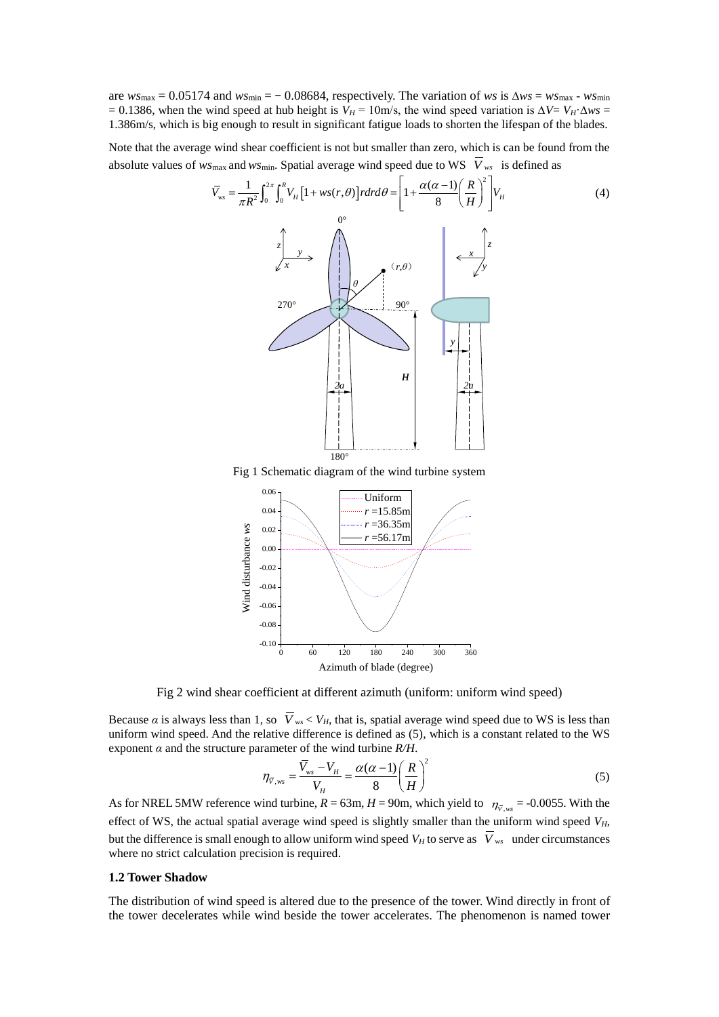are  $w_s$ <sub>max</sub> = 0.05174 and  $w_s$ <sub>min</sub> = − 0.08684, respectively. The variation of *ws* is  $\Delta ws = ws$ <sub>max</sub> -  $ws$ <sub>min</sub>  $= 0.1386$ , when the wind speed at hub height is *V<sub>H</sub>* = 10m/s, the wind speed variation is  $\Delta V = V_H \cdot \Delta ws =$ 1.386m/s, which is big enough to result in significant fatigue loads to shorten the lifespan of the blades.

Note that the average wind shear coefficient is not but smaller than zero, which is can be found from the absolute values of *ws*max and *ws*min. Spatial average wind speed due to WS *V ws* is defined as



Fig 1 Schematic diagram of the wind turbine system



Fig 2 wind shear coefficient at different azimuth (uniform: uniform wind speed)

Because  $\alpha$  is always less than 1, so  $V_{ws}$  <  $V_H$ , that is, spatial average wind speed due to WS is less than uniform wind speed. And the relative difference is defined as (5), which is a constant related to the WS exponent  $\alpha$  and the structure parameter of the wind turbine  $R/H$ .

$$
\eta_{\bar{V},ws} = \frac{\bar{V}_{ws} - V_H}{V_H} = \frac{\alpha(\alpha - 1)}{8} \left(\frac{R}{H}\right)^2 \tag{5}
$$

As for NREL 5MW reference wind turbine,  $R = 63$ m,  $H = 90$ m, which yield to  $\eta_{\bar{v},ws} = -0.0055$ . With the effect of WS, the actual spatial average wind speed is slightly smaller than the uniform wind speed *VH*, but the difference is small enough to allow uniform wind speed  $V_H$  to serve as  $\overline{V}_{ws}$  under circumstances where no strict calculation precision is required.

### **1.2 Tower Shadow**

The distribution of wind speed is altered due to the presence of the tower. Wind directly in front of the tower decelerates while wind beside the tower accelerates. The phenomenon is named tower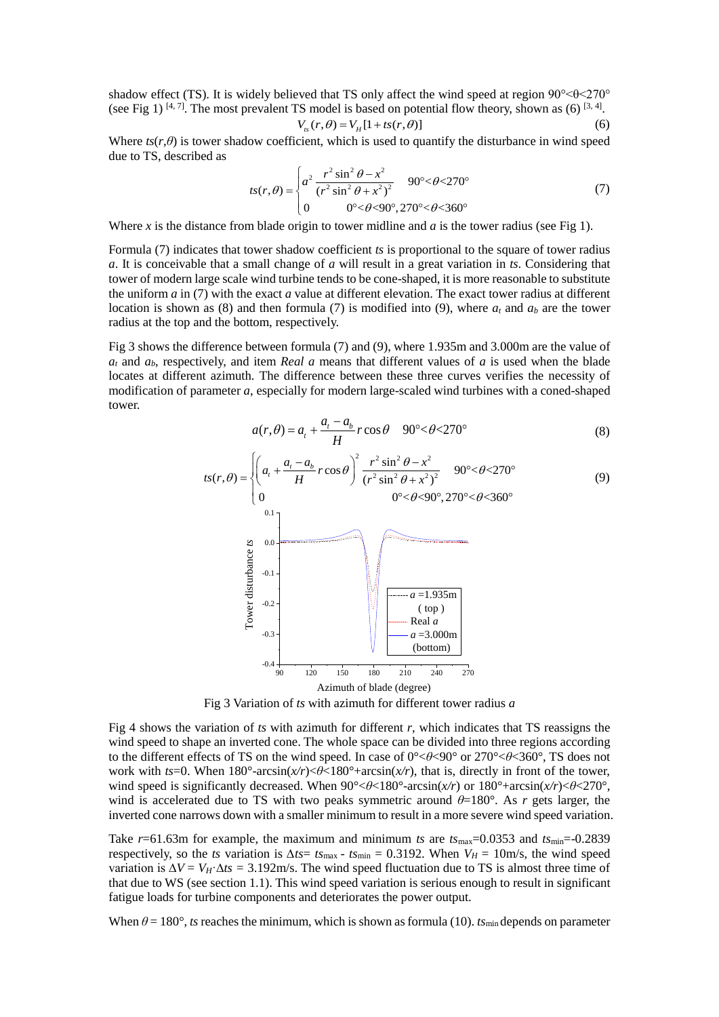shadow effect (TS). It is widely believed that TS only affect the wind speed at region  $90^{\circ} < \theta < 270^{\circ}$ (see Fig 1)  $[4, 7]$ . The most prevalent TS model is based on potential flow theory, shown as (6)  $[3, 4]$ .

$$
V_{ts}(r,\theta) = V_H[1 + ts(r,\theta)]
$$
 (6)

Where  $ts(r, \theta)$  is tower shadow coefficient, which is used to quantify the disturbance in wind speed due to TS, described as

$$
ts(r,\theta) = \begin{cases} a^2 \frac{r^2 \sin^2 \theta - x^2}{(r^2 \sin^2 \theta + x^2)^2} & 90^\circ < \theta < 270^\circ \\ 0 & 0^\circ < \theta < 90^\circ, 270^\circ < \theta < 360^\circ \end{cases}
$$
(7)

Where *x* is the distance from blade origin to tower midline and *a* is the tower radius (see Fig 1).

Formula (7) indicates that tower shadow coefficient *ts* is proportional to the square of tower radius *a*. It is conceivable that a small change of *a* will result in a great variation in *ts*. Considering that tower of modern large scale wind turbine tends to be cone-shaped, it is more reasonable to substitute the uniform *a* in (7) with the exact *a* value at different elevation. The exact tower radius at different location is shown as (8) and then formula (7) is modified into (9), where  $a_t$  and  $a_b$  are the tower radius at the top and the bottom, respectively.

Fig 3 shows the difference between formula (7) and (9), where 1.935m and 3.000m are the value of  $a_t$  and  $a_b$ , respectively, and item *Real a* means that different values of *a* is used when the blade locates at different azimuth. The difference between these three curves verifies the necessity of modification of parameter *a*, especially for modern large-scaled wind turbines with a coned-shaped tower.

$$
a(r,\theta) = a_t + \frac{a_t - a_b}{H}r\cos\theta \quad 90^\circ < \theta < 270^\circ
$$
 (8)

$$
tS(r,\theta) = \begin{cases} \left(a_t + \frac{a_t - a_b}{H}r\cos\theta\right)^2 \frac{r^2\sin^2\theta - x^2}{(r^2\sin^2\theta + x^2)^2} & 90^\circ < \theta < 270^\circ\\ 0 & 0^\circ < \theta < 90^\circ < \theta < 360^\circ \end{cases}
$$
(8)



Fig 3 Variation of *ts* with azimuth for different tower radius *a*

Fig 4 shows the variation of *ts* with azimuth for different *r*, which indicates that TS reassigns the wind speed to shape an inverted cone. The whole space can be divided into three regions according to the different effects of TS on the wind speed. In case of 0°<*θ*<90° or 270°<*θ*<360°, TS does not work with *ts*=0. When 180°-arcsin(*x/r*)<*θ*<180°+arcsin(*x/r*), that is, directly in front of the tower, wind speed is significantly decreased. When 90°<*θ*<180°-arcsin(*x/r*) or 180°+arcsin(*x/r*)<*θ*<270°, wind is accelerated due to TS with two peaks symmetric around  $\theta=180^\circ$ . As *r* gets larger, the inverted cone narrows down with a smaller minimum to result in a more severe wind speed variation.

Take  $r=61.63$ m for example, the maximum and minimum *ts* are  $t_{\text{max}}=0.0353$  and  $t_{\text{min}}=-0.2839$ respectively, so the *ts* variation is  $\Delta t s = t s_{\text{max}} - t s_{\text{min}} = 0.3192$ . When  $V_H = 10 \text{m/s}$ , the wind speed variation is  $\Delta V = V_H \Delta t s = 3.192 \text{m/s}$ . The wind speed fluctuation due to TS is almost three time of that due to WS (see section 1.1). This wind speed variation is serious enough to result in significant fatigue loads for turbine components and deteriorates the power output.

When  $\theta = 180^\circ$ , *ts* reaches the minimum, which is shown as formula (10). *ts*<sub>min</sub> depends on parameter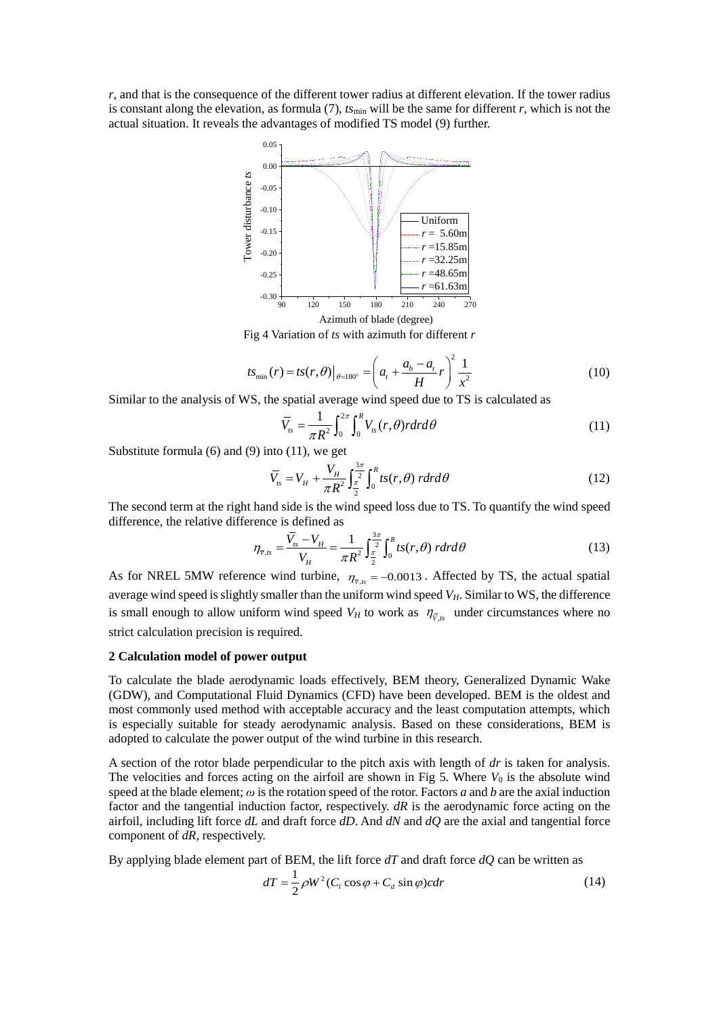*r*, and that is the consequence of the different tower radius at different elevation. If the tower radius is constant along the elevation, as formula (7),  $t_{\text{Smin}}$  will be the same for different *r*, which is not the actual situation. It reveals the advantages of modified TS model (9) further.



Fig 4 Variation of *ts* with azimuth for different *r*

$$
ts_{\min}(r) = ts(r, \theta)|_{\theta = 180^{\circ}} = \left(a_t + \frac{a_b - a_t}{H}r\right)^2 \frac{1}{x^2}
$$
 (10)

Similar to the analysis of WS, the spatial average wind speed due to TS is calculated as

$$
\overline{V}_{ts} = \frac{1}{\pi R^2} \int_0^{2\pi} \int_0^R V_{ts}(r,\theta) r dr d\theta
$$
\n(11)

Substitute formula (6) and (9) into (11), we get

$$
\overline{V}_{ts} = V_H + \frac{V_H}{\pi R^2} \int_{\frac{\pi}{2}}^{\frac{3\pi}{2}} \int_0^R t s(r,\theta) \, r dr d\theta \tag{12}
$$

The second term at the right hand side is the wind speed loss due to TS. To quantify the wind speed difference, the relative difference is defined as

$$
\eta_{\bar{v},ts} = \frac{\bar{V}_{ts} - V_H}{V_H} = \frac{1}{\pi R^2} \int_{\frac{\pi}{2}}^{\frac{3\pi}{2}} \int_0^R t s(r,\theta) \ r dr d\theta \tag{13}
$$

As for NREL 5MW reference wind turbine,  $\eta_{\bar{v},ts} = -0.0013$ . Affected by TS, the actual spatial average wind speed is slightly smaller than the uniform wind speed *VH*. Similar to WS, the difference is small enough to allow uniform wind speed  $V_H$  to work as  $\eta_{\bar{V},ts}$  under circumstances where no strict calculation precision is required.

## **2 Calculation model of power output**

To calculate the blade aerodynamic loads effectively, BEM theory, Generalized Dynamic Wake (GDW), and Computational Fluid Dynamics (CFD) have been developed. BEM is the oldest and most commonly used method with acceptable accuracy and the least computation attempts, which is especially suitable for steady aerodynamic analysis. Based on these considerations, BEM is adopted to calculate the power output of the wind turbine in this research.

A section of the rotor blade perpendicular to the pitch axis with length of *dr* is taken for analysis. The velocities and forces acting on the airfoil are shown in Fig 5. Where  $V_0$  is the absolute wind speed at the blade element; *ω* is the rotation speed of the rotor. Factors *a* and *b* are the axial induction factor and the tangential induction factor, respectively. *dR* is the aerodynamic force acting on the airfoil, including lift force *dL* and draft force *dD*. And *dN* and *dQ* are the axial and tangential force component of *dR,* respectively.

By applying blade element part of BEM, the lift force *dT* and draft force *dQ* can be written as

$$
dT = \frac{1}{2}\rho W^2 (C_l \cos \varphi + C_d \sin \varphi) c dr
$$
 (14)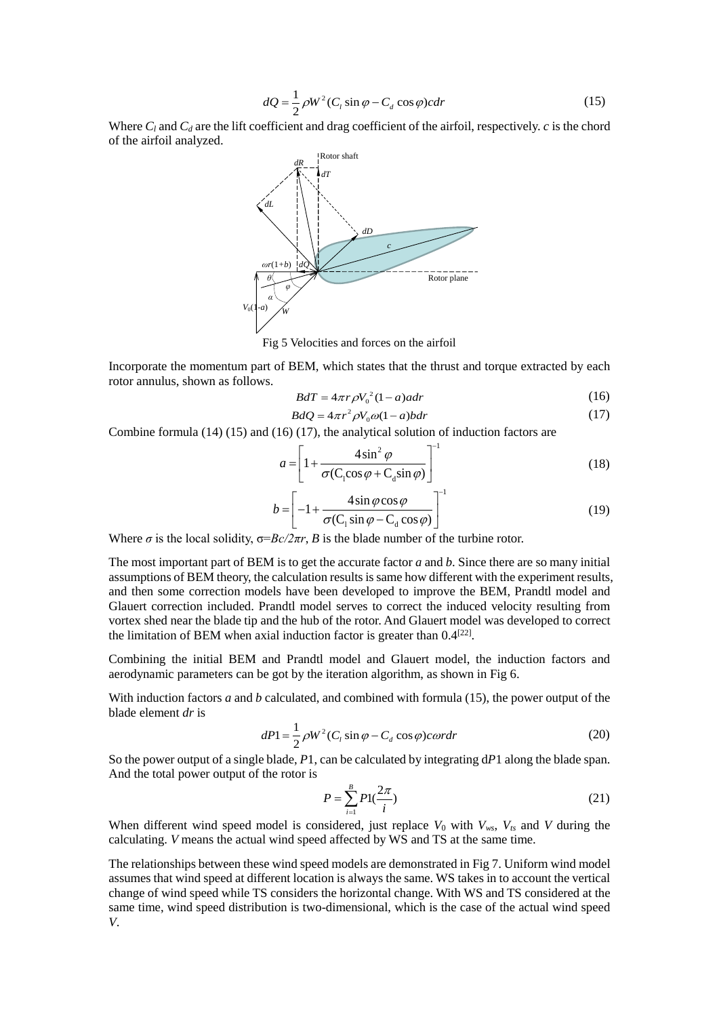$$
dQ = \frac{1}{2}\rho W^2 (C_l \sin \varphi - C_d \cos \varphi) c dr
$$
 (15)

Where  $C_l$  and  $C_d$  are the lift coefficient and drag coefficient of the airfoil, respectively. *c* is the chord of the airfoil analyzed.



Fig 5 Velocities and forces on the airfoil

Incorporate the momentum part of BEM, which states that the thrust and torque extracted by each rotor annulus, shown as follows.

$$
BdT = 4\pi r \rho V_0^2 (1 - a)adr \tag{16}
$$

$$
BdQ = 4\pi r^2 \rho V_0 \omega (1-a) b dr \tag{17}
$$

Combine formula (14) (15) and (16) (17), the analytical solution of induction factors are

$$
a = \left[1 + \frac{4\sin^2\varphi}{\sigma(C_1\cos\varphi + C_d\sin\varphi)}\right]^{-1}
$$
 (18)

$$
b = \left[ -1 + \frac{4\sin\varphi\cos\varphi}{\sigma(C_1\sin\varphi - C_d\cos\varphi)} \right]^{-1}
$$
 (19)

Where  $\sigma$  is the local solidity,  $\sigma = Bc/2\pi r$ , *B* is the blade number of the turbine rotor.

The most important part of BEM is to get the accurate factor *a* and *b*. Since there are so many initial assumptions of BEM theory, the calculation results is same how different with the experiment results, and then some correction models have been developed to improve the BEM, Prandtl model and Glauert correction included. Prandtl model serves to correct the induced velocity resulting from vortex shed near the blade tip and the hub of the rotor. And Glauert model was developed to correct the limitation of BEM when axial induction factor is greater than  $0.4^{[22]}$ .

Combining the initial BEM and Prandtl model and Glauert model, the induction factors and aerodynamic parameters can be got by the iteration algorithm, as shown in Fig 6.

With induction factors *a* and *b* calculated, and combined with formula (15), the power output of the blade element *dr* is

$$
dP1 = \frac{1}{2}\rho W^2 (C_l \sin \varphi - C_d \cos \varphi) \cos \varphi \tag{20}
$$

So the power output of a single blade, *P*1, can be calculated by integrating d*P*1 along the blade span. And the total power output of the rotor is

$$
P = \sum_{i=1}^{B} P1(\frac{2\pi}{i})
$$
\n(21)

When different wind speed model is considered, just replace  $V_0$  with  $V_{ws}$ ,  $V_{ts}$  and  $V$  during the calculating. *V* means the actual wind speed affected by WS and TS at the same time.

The relationships between these wind speed models are demonstrated in Fig 7. Uniform wind model assumes that wind speed at different location is always the same. WS takes in to account the vertical change of wind speed while TS considers the horizontal change. With WS and TS considered at the same time, wind speed distribution is two-dimensional, which is the case of the actual wind speed *V*.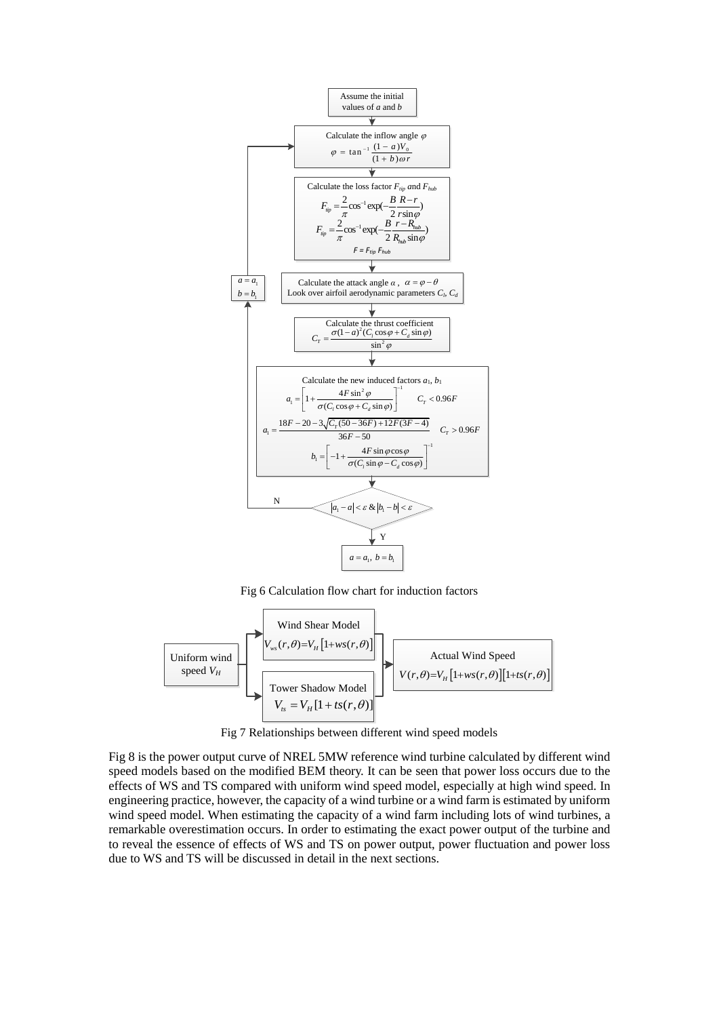

Fig 6 Calculation flow chart for induction factors



Fig 7 Relationships between different wind speed models

Fig 8 is the power output curve of NREL 5MW reference wind turbine calculated by different wind speed models based on the modified BEM theory. It can be seen that power loss occurs due to the effects of WS and TS compared with uniform wind speed model, especially at high wind speed. In engineering practice, however, the capacity of a wind turbine or a wind farm is estimated by uniform wind speed model. When estimating the capacity of a wind farm including lots of wind turbines, a remarkable overestimation occurs. In order to estimating the exact power output of the turbine and to reveal the essence of effects of WS and TS on power output, power fluctuation and power loss due to WS and TS will be discussed in detail in the next sections.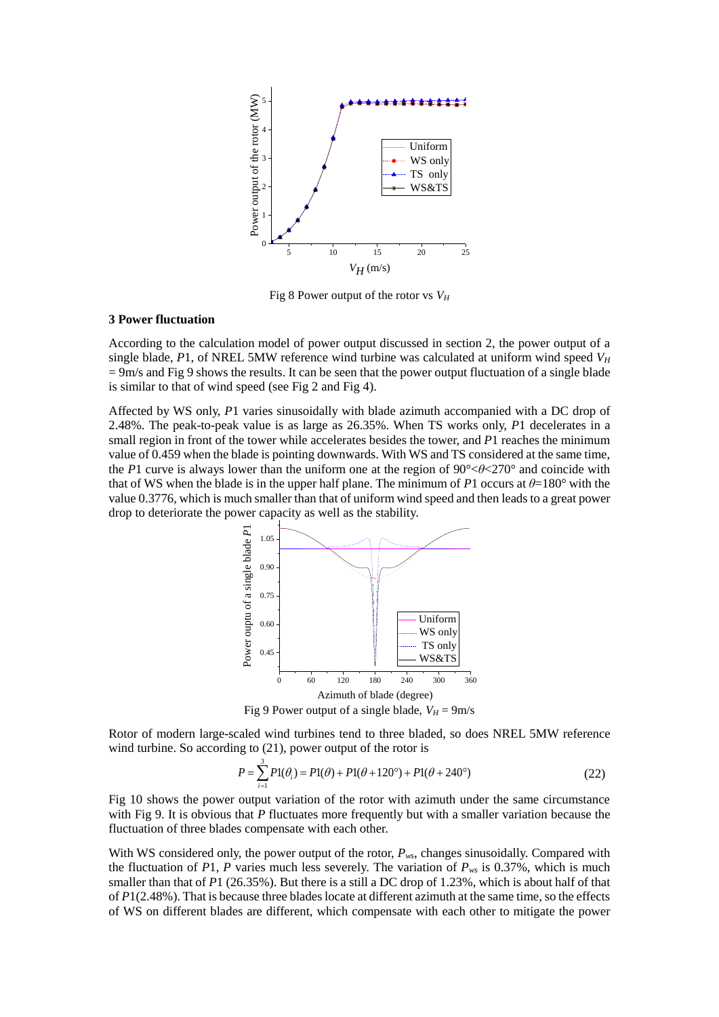

Fig 8 Power output of the rotor vs *V<sup>H</sup>*

### **3 Power fluctuation**

According to the calculation model of power output discussed in section 2, the power output of a single blade, *P*1, of NREL 5MW reference wind turbine was calculated at uniform wind speed *V<sup>H</sup>*  $= 9$ m/s and Fig 9 shows the results. It can be seen that the power output fluctuation of a single blade is similar to that of wind speed (see Fig 2 and Fig 4).

Affected by WS only, *P*1 varies sinusoidally with blade azimuth accompanied with a DC drop of 2.48%. The peak-to-peak value is as large as 26.35%. When TS works only, *P*1 decelerates in a small region in front of the tower while accelerates besides the tower, and *P*1 reaches the minimum value of 0.459 when the blade is pointing downwards. With WS and TS considered at the same time, the *P*1 curve is always lower than the uniform one at the region of 90°<*θ*<270° and coincide with that of WS when the blade is in the upper half plane. The minimum of *P*1 occurs at  $\theta$ =180° with the value 0.3776, which is much smaller than that of uniform wind speed and then leads to a great power drop to deteriorate the power capacity as well as the stability.



Fig 9 Power output of a single blade,  $V_H = 9$ m/s

Rotor of modern large-scaled wind turbines tend to three bladed, so does NREL 5MW reference wind turbine. So according to (21), power output of the rotor is

$$
P = \sum_{i=1}^{3} P1(\theta_i) = P1(\theta) + P1(\theta + 120^\circ) + P1(\theta + 240^\circ)
$$
 (22)

Fig 10 shows the power output variation of the rotor with azimuth under the same circumstance with Fig 9. It is obvious that *P* fluctuates more frequently but with a smaller variation because the fluctuation of three blades compensate with each other.

With WS considered only, the power output of the rotor,  $P_{ws}$ , changes sinusoidally. Compared with the fluctuation of *P*1, *P* varies much less severely. The variation of  $P_{ws}$  is 0.37%, which is much smaller than that of *P*1 (26.35%). But there is a still a DC drop of 1.23%, which is about half of that of *P*1(2.48%). That is because three blades locate at different azimuth at the same time, so the effects of WS on different blades are different, which compensate with each other to mitigate the power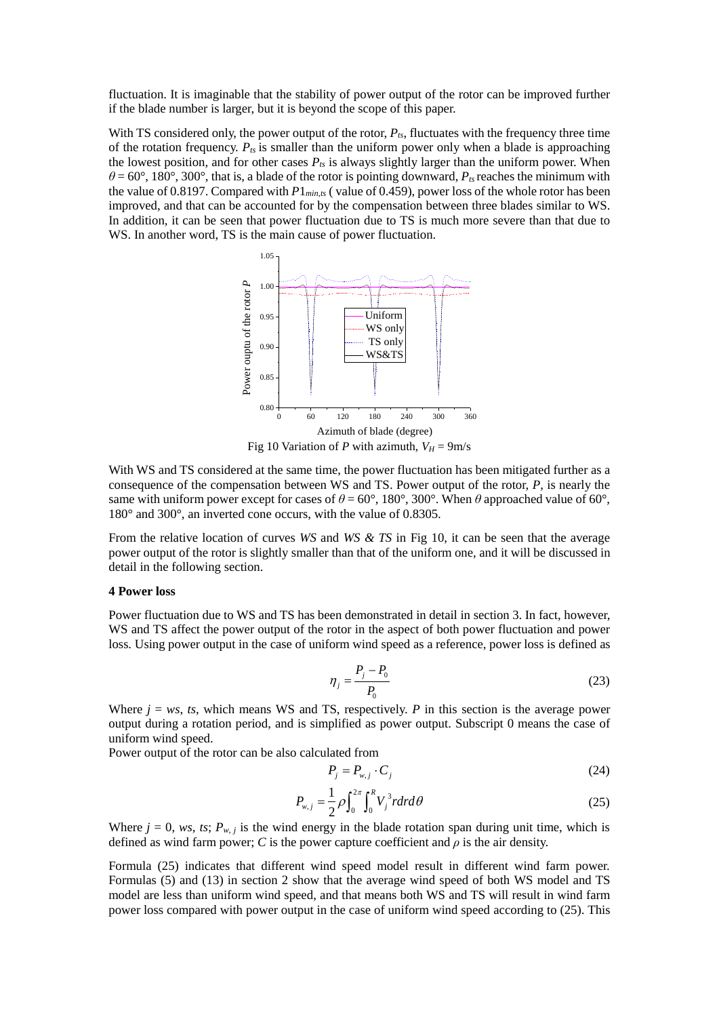fluctuation. It is imaginable that the stability of power output of the rotor can be improved further if the blade number is larger, but it is beyond the scope of this paper.

With TS considered only, the power output of the rotor,  $P_{ts}$ , fluctuates with the frequency three time of the rotation frequency.  $P_{ts}$  is smaller than the uniform power only when a blade is approaching the lowest position, and for other cases  $P_{ts}$  is always slightly larger than the uniform power. When  $\theta$  = 60°, 180°, 300°, that is, a blade of the rotor is pointing downward,  $P_{ts}$  reaches the minimum with the value of 0.8197. Compared with *P*1*min,ts* ( value of 0.459), power loss of the whole rotor has been improved, and that can be accounted for by the compensation between three blades similar to WS. In addition, it can be seen that power fluctuation due to TS is much more severe than that due to WS. In another word, TS is the main cause of power fluctuation.



Fig 10 Variation of *P* with azimuth,  $V_H = 9$ m/s

With WS and TS considered at the same time, the power fluctuation has been mitigated further as a consequence of the compensation between WS and TS. Power output of the rotor, *P*, is nearly the same with uniform power except for cases of  $\theta = 60^{\circ}$ , 180°, 300°. When  $\theta$  approached value of 60°, 180° and 300°, an inverted cone occurs, with the value of 0.8305.

From the relative location of curves *WS* and *WS & TS* in Fig 10, it can be seen that the average power output of the rotor is slightly smaller than that of the uniform one, and it will be discussed in detail in the following section.

#### **4 Power loss**

Power fluctuation due to WS and TS has been demonstrated in detail in section 3. In fact, however, WS and TS affect the power output of the rotor in the aspect of both power fluctuation and power loss. Using power output in the case of uniform wind speed as a reference, power loss is defined as

$$
\eta_j = \frac{P_j - P_0}{P_0} \tag{23}
$$

Where  $j = ws$ ,  $ts$ , which means WS and TS, respectively. *P* in this section is the average power output during a rotation period, and is simplified as power output. Subscript 0 means the case of uniform wind speed.

Power output of the rotor can be also calculated from

$$
P_j = P_{w,j} \cdot C_j \tag{24}
$$

$$
P_{w,j} = \frac{1}{2} \rho \int_0^{2\pi} \int_0^R V_j^3 r dr d\theta \qquad (25)
$$

Where  $j = 0$ , *ws*, *ts*;  $P_{w, j}$  is the wind energy in the blade rotation span during unit time, which is defined as wind farm power; *C* is the power capture coefficient and  $\rho$  is the air density.

Formula (25) indicates that different wind speed model result in different wind farm power. Formulas (5) and (13) in section 2 show that the average wind speed of both WS model and TS model are less than uniform wind speed, and that means both WS and TS will result in wind farm power loss compared with power output in the case of uniform wind speed according to (25). This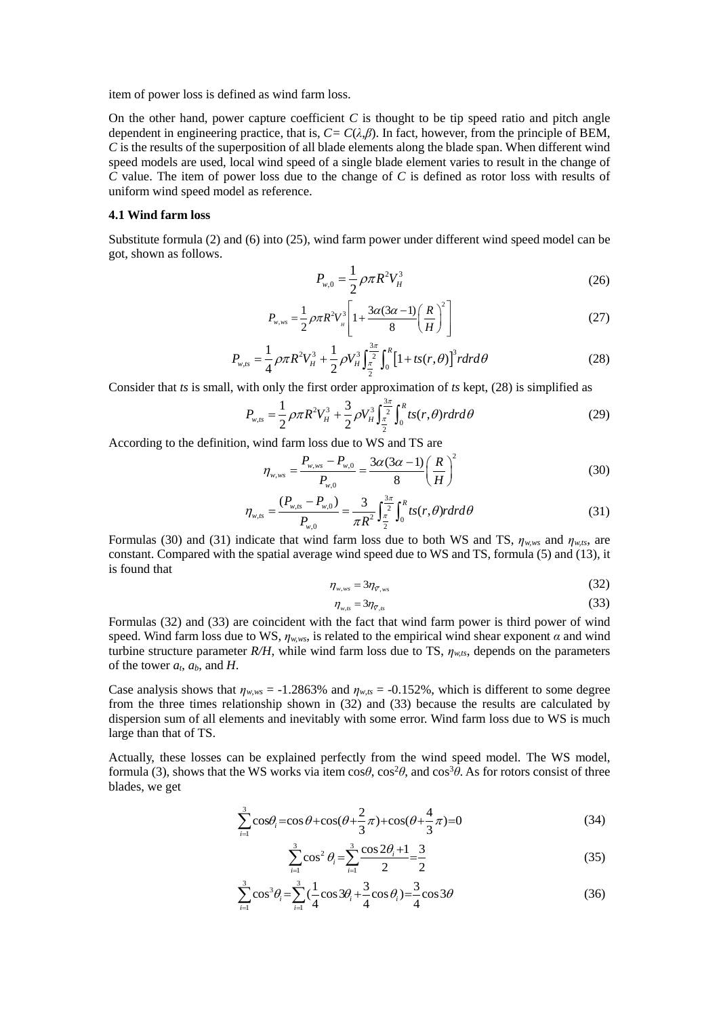item of power loss is defined as wind farm loss.

On the other hand, power capture coefficient *C* is thought to be tip speed ratio and pitch angle dependent in engineering practice, that is,  $C = C(\lambda, \beta)$ . In fact, however, from the principle of BEM, *C* is the results of the superposition of all blade elements along the blade span. When different wind speed models are used, local wind speed of a single blade element varies to result in the change of *C* value. The item of power loss due to the change of *C* is defined as rotor loss with results of uniform wind speed model as reference.

#### **4.1 Wind farm loss**

Substitute formula (2) and (6) into (25), wind farm power under different wind speed model can be got, shown as follows.

$$
P_{w,0} = \frac{1}{2} \rho \pi R^2 V_H^3 \tag{26}
$$

$$
P_{w,ws} = \frac{1}{2} \rho \pi R^2 V_n^3 \left[ 1 + \frac{3\alpha (3\alpha - 1)}{8} \left( \frac{R}{H} \right)^2 \right]
$$
 (27)

$$
P_{w,us} = \frac{1}{4} \rho \pi R^2 V_H^3 + \frac{1}{2} \rho V_H^3 \int_{\frac{\pi}{2}}^{\frac{3\pi}{2}} \int_0^R \left[1 + ts(r, \theta)\right]^3 r dr d\theta
$$
 (28)

Consider that *ts* is small, with only the first order approximation of *ts* kept, (28) is simplified as\n
$$
P_{w,ts} = \frac{1}{2} \rho \pi R^2 V_H^3 + \frac{3}{2} \rho V_H^3 \int_{\frac{\pi}{2}}^{\frac{3\pi}{2}} \int_0^R t s(r,\theta) r dr d\theta
$$
\n(29)

According to the definition, wind farm loss due to WS and TS are<br> $n = \frac{P_{w,ws} - P_{w,0}}{P_{w,ws} - P_{w,0}} = \frac{3\alpha(3\alpha - 1)}{P_{w,ss} - P_{w,0}} = \frac{3\alpha(3\alpha - 1)}{P_{w,ss} - P_{w,0}}$ 

$$
\eta_{w,ws} = \frac{P_{w,ws} - P_{w,0}}{P_{w,0}} = \frac{3\alpha(3\alpha - 1)}{8} \left(\frac{R}{H}\right)^2 \tag{30}
$$

$$
P_{w,0} = \frac{(P_{w,0} - P_{w,0})}{P_{w,0}} = \frac{3}{\pi R^2} \int_{\frac{\pi}{2}}^{\frac{3\pi}{2}} \int_0^R t s(r,\theta) r dr d\theta
$$
(31)

Formulas (30) and (31) indicate that wind farm loss due to both WS and TS,  $\eta_{w,ws}$  and  $\eta_{w,ts}$ , are constant. Compared with the spatial average wind speed due to WS and TS, formula (5) and (13), it is found that

$$
\eta_{w,ws} = 3\eta_{\bar{v},ws} \tag{32}
$$

$$
\eta_{w,ts} = 3\eta_{\overline{v},ts} \tag{33}
$$

Formulas (32) and (33) are coincident with the fact that wind farm power is third power of wind speed. Wind farm loss due to WS,  $\eta_{w,ws}$ , is related to the empirical wind shear exponent  $\alpha$  and wind turbine structure parameter  $R/H$ , while wind farm loss due to TS,  $\eta_{w,ts}$ , depends on the parameters of the tower  $a_t$ ,  $a_b$ , and  $H$ .

Case analysis shows that  $\eta_{w,ws} = -1.2863\%$  and  $\eta_{w,ts} = -0.152\%$ , which is different to some degree from the three times relationship shown in (32) and (33) because the results are calculated by dispersion sum of all elements and inevitably with some error. Wind farm loss due to WS is much large than that of TS.

Actually, these losses can be explained perfectly from the wind speed model. The WS model, formula (3), shows that the WS works via item cos $\theta$ , cos<sup>2</sup> $\theta$ , and cos<sup>3</sup> $\theta$ . As for rotors consist of three blades, we get

$$
\sum_{i=1}^{3} \cos \theta_{i} = \cos \theta + \cos(\theta + \frac{2}{3}\pi) + \cos(\theta + \frac{4}{3}\pi) = 0
$$
\n(34)

$$
\sum_{i=1}^{3} \cos^2 \theta_i = \sum_{i=1}^{3} \frac{\cos 2\theta_i + 1}{2} = \frac{3}{2}
$$
 (35)

$$
\sum_{i=1}^{3} \cos^{3} \theta_{i} = \sum_{i=1}^{3} \left(\frac{1}{4} \cos 3\theta_{i} + \frac{3}{4} \cos \theta_{i}\right) = \frac{3}{4} \cos 3\theta
$$
 (36)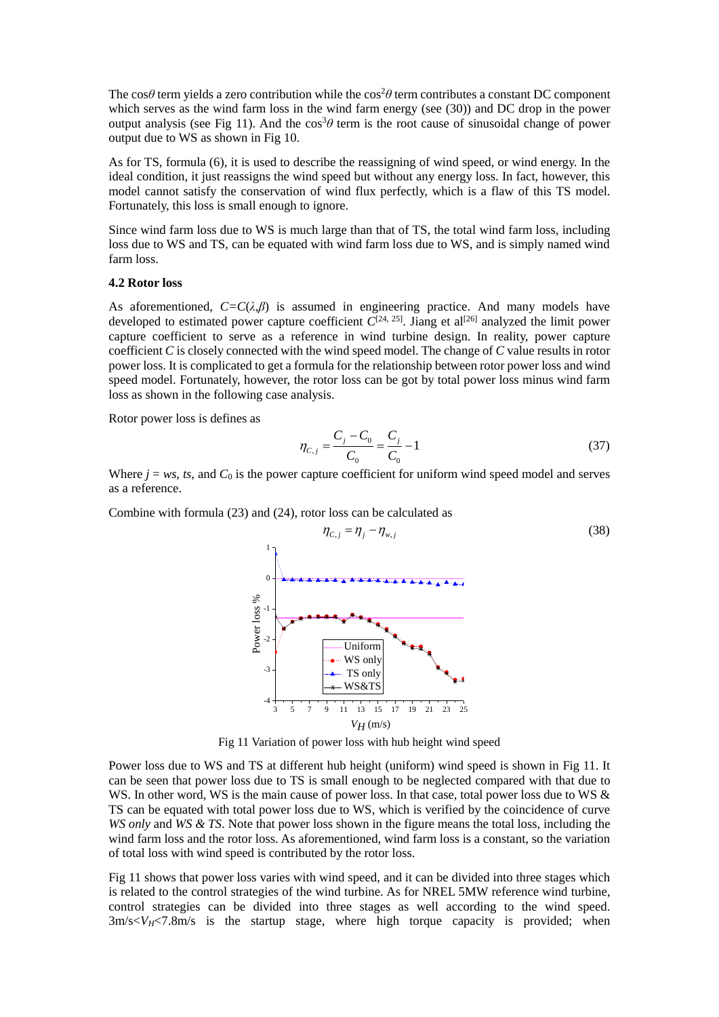The cos $\theta$  term yields a zero contribution while the cos<sup>2</sup> $\theta$  term contributes a constant DC component which serves as the wind farm loss in the wind farm energy (see (30)) and DC drop in the power output analysis (see Fig 11). And the  $\cos^3\theta$  term is the root cause of sinusoidal change of power output due to WS as shown in Fig 10.

As for TS, formula (6), it is used to describe the reassigning of wind speed, or wind energy. In the ideal condition, it just reassigns the wind speed but without any energy loss. In fact, however, this model cannot satisfy the conservation of wind flux perfectly, which is a flaw of this TS model. Fortunately, this loss is small enough to ignore.

Since wind farm loss due to WS is much large than that of TS, the total wind farm loss, including loss due to WS and TS, can be equated with wind farm loss due to WS, and is simply named wind farm loss.

### **4.2 Rotor loss**

As aforementioned,  $C=C(\lambda,\beta)$  is assumed in engineering practice. And many models have developed to estimated power capture coefficient  $\tilde{C}^{[24, 25]}$ . Jiang et al<sup>[26]</sup> analyzed the limit power capture coefficient to serve as a reference in wind turbine design. In reality, power capture coefficient *C* is closely connected with the wind speed model. The change of *C* value results in rotor power loss. It is complicated to get a formula for the relationship between rotor power loss and wind speed model. Fortunately, however, the rotor loss can be got by total power loss minus wind farm loss as shown in the following case analysis.

Rotor power loss is defines as

$$
\eta_{C,j} = \frac{C_j - C_0}{C_0} = \frac{C_j}{C_0} - 1\tag{37}
$$

Where  $j = ws$ , *ts*, and  $C_0$  is the power capture coefficient for uniform wind speed model and serves as a reference.

Combine with formula (23) and (24), rotor loss can be calculated as



Fig 11 Variation of power loss with hub height wind speed

Power loss due to WS and TS at different hub height (uniform) wind speed is shown in Fig 11. It can be seen that power loss due to TS is small enough to be neglected compared with that due to WS. In other word, WS is the main cause of power loss. In that case, total power loss due to WS & TS can be equated with total power loss due to WS, which is verified by the coincidence of curve *WS only* and *WS & TS*. Note that power loss shown in the figure means the total loss, including the wind farm loss and the rotor loss. As aforementioned, wind farm loss is a constant, so the variation of total loss with wind speed is contributed by the rotor loss.

Fig 11 shows that power loss varies with wind speed, and it can be divided into three stages which is related to the control strategies of the wind turbine. As for NREL 5MW reference wind turbine, control strategies can be divided into three stages as well according to the wind speed.  $3m/s < V_H < 7.8m/s$  is the startup stage, where high torque capacity is provided; when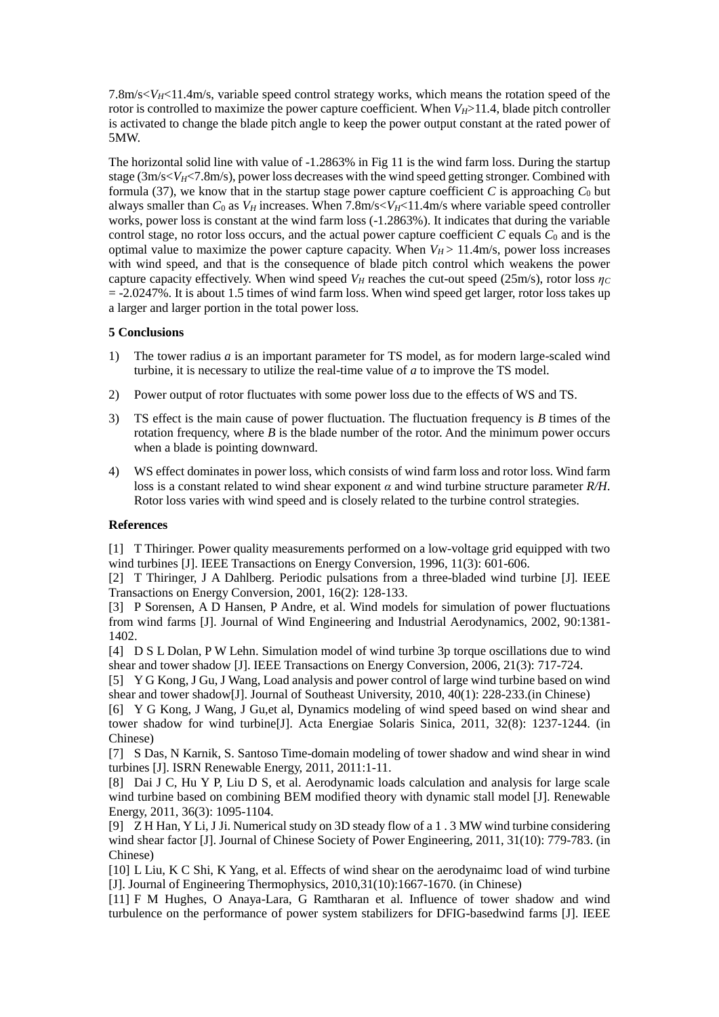7.8m/s $\langle V_H \rangle$  11.4m/s, variable speed control strategy works, which means the rotation speed of the rotor is controlled to maximize the power capture coefficient. When  $V_{H}$ >11.4, blade pitch controller is activated to change the blade pitch angle to keep the power output constant at the rated power of 5MW.

The horizontal solid line with value of -1.2863% in Fig 11 is the wind farm loss. During the startup stage  $(3m/s< V_H< 7.8m/s)$ , power loss decreases with the wind speed getting stronger. Combined with formula (37), we know that in the startup stage power capture coefficient  $C$  is approaching  $C_0$  but always smaller than  $C_0$  as  $V_H$  increases. When 7.8m/s $\lt V_H \lt 11.4$ m/s where variable speed controller works, power loss is constant at the wind farm loss (-1.2863%). It indicates that during the variable control stage, no rotor loss occurs, and the actual power capture coefficient  $C$  equals  $C_0$  and is the optimal value to maximize the power capture capacity. When  $V_H$  > 11.4m/s, power loss increases with wind speed, and that is the consequence of blade pitch control which weakens the power capture capacity effectively. When wind speed  $V_H$  reaches the cut-out speed (25m/s), rotor loss  $\eta_C$  $= -2.0247\%$ . It is about 1.5 times of wind farm loss. When wind speed get larger, rotor loss takes up a larger and larger portion in the total power loss.

# **5 Conclusions**

- 1) The tower radius *a* is an important parameter for TS model, as for modern large-scaled wind turbine, it is necessary to utilize the real-time value of *a* to improve the TS model.
- 2) Power output of rotor fluctuates with some power loss due to the effects of WS and TS.
- 3) TS effect is the main cause of power fluctuation. The fluctuation frequency is *B* times of the rotation frequency, where  $B$  is the blade number of the rotor. And the minimum power occurs when a blade is pointing downward.
- 4) WS effect dominates in power loss, which consists of wind farm loss and rotor loss. Wind farm loss is a constant related to wind shear exponent *α* and wind turbine structure parameter *R/H*. Rotor loss varies with wind speed and is closely related to the turbine control strategies.

# **References**

[1] T Thiringer. Power quality measurements performed on a low-voltage grid equipped with two wind turbines [J]. IEEE Transactions on Energy Conversion, 1996, 11(3): 601-606.

[2] T Thiringer, J A Dahlberg. Periodic pulsations from a three-bladed wind turbine [J]. IEEE Transactions on Energy Conversion, 2001, 16(2): 128-133.

[3] P Sorensen, A D Hansen, P Andre, et al. Wind models for simulation of power fluctuations from wind farms [J]. Journal of Wind Engineering and Industrial Aerodynamics, 2002, 90:1381- 1402.

[4] D S L Dolan, P W Lehn. Simulation model of wind turbine 3p torque oscillations due to wind shear and tower shadow [J]. IEEE Transactions on Energy Conversion, 2006, 21(3): 717-724.

[5] Y G Kong, J Gu, J Wang, Load analysis and power control of large wind turbine based on wind shear and tower shadow[J]. Journal of Southeast University, 2010, 40(1): 228-233.(in Chinese)

[6] Y G Kong, J Wang, J Gu,et al, Dynamics modeling of wind speed based on wind shear and tower shadow for wind turbine[J]. Acta Energiae Solaris Sinica, 2011, 32(8): 1237-1244. (in Chinese)

[7] S Das, N Karnik, S. Santoso Time-domain modeling of tower shadow and wind shear in wind turbines [J]. ISRN Renewable Energy, 2011, 2011:1-11.

[8] Dai J C, Hu Y P, Liu D S, et al. Aerodynamic loads calculation and analysis for large scale wind turbine based on combining BEM modified theory with dynamic stall model [J]. Renewable Energy, 2011, 36(3): 1095-1104.

[9] Z H Han, Y Li, J Ji. Numerical study on 3D steady flow of a 1 . 3 MW wind turbine considering wind shear factor [J]. Journal of Chinese Society of Power Engineering, 2011, 31(10): 779-783. (in Chinese)

[10] L Liu, K C Shi, K Yang, et al. Effects of wind shear on the aerodynaimc load of wind turbine [J]. Journal of Engineering Thermophysics, 2010,31(10):1667-1670. (in Chinese)

[11] F M Hughes, O Anaya-Lara, G Ramtharan et al. Influence of tower shadow and wind turbulence on the performance of power system stabilizers for DFIG-basedwind farms [J]. IEEE